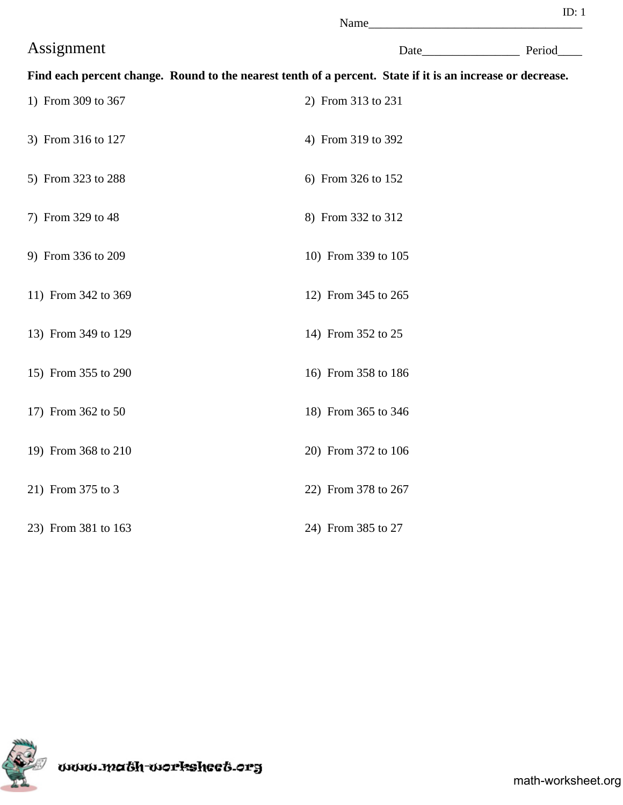|                     | Name                                                                                                       |             |
|---------------------|------------------------------------------------------------------------------------------------------------|-------------|
| Assignment          |                                                                                                            | Date Period |
|                     | Find each percent change. Round to the nearest tenth of a percent. State if it is an increase or decrease. |             |
| 1) From 309 to 367  | 2) From 313 to 231                                                                                         |             |
| 3) From 316 to 127  | 4) From 319 to 392                                                                                         |             |
| 5) From 323 to 288  | 6) From 326 to 152                                                                                         |             |
| 7) From 329 to 48   | 8) From 332 to 312                                                                                         |             |
| 9) From 336 to 209  | 10) From 339 to 105                                                                                        |             |
| 11) From 342 to 369 | 12) From 345 to 265                                                                                        |             |
| 13) From 349 to 129 | 14) From 352 to 25                                                                                         |             |
| 15) From 355 to 290 | 16) From 358 to 186                                                                                        |             |
| 17) From 362 to 50  | 18) From 365 to 346                                                                                        |             |
| 19) From 368 to 210 | 20) From 372 to 106                                                                                        |             |
| 21) From 375 to 3   | 22) From 378 to 267                                                                                        |             |
| 23) From 381 to 163 | 24) From 385 to 27                                                                                         |             |

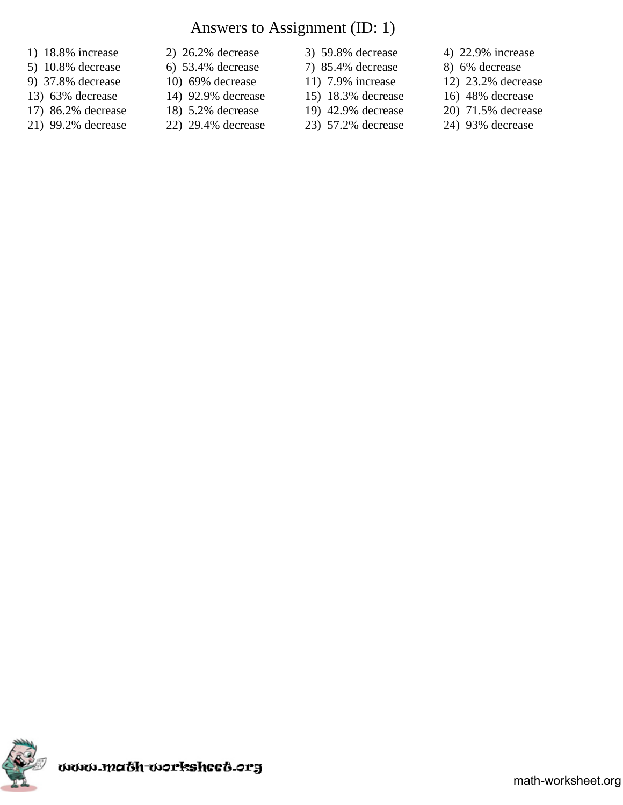# Answers to Assignment (ID: 1)

- 
- 5) 10.8% decrease 6) 53.4% decrease 7) 85.4% decrease 8) 6% decrease
- 
- 13) 63% decrease 14) 92.9% decrease 15) 18.3% decrease 16) 48% decrease
- 17) 86.2% decrease 18) 5.2% decrease 19) 42.9% decrease 20) 71.5% decrease
- 21) 99.2% decrease 22) 29.4% decrease 23) 57.2% decrease 24) 93% decrease
- 1) 18.8% increase 2) 26.2% decrease 3) 59.8% decrease 4) 22.9% increase
	-
	-
	-
	-
- 
- 
- 
- 
- 
- 
- 
- 9) 37.8% decrease 10) 69% decrease 11) 7.9% increase 12) 23.2% decrease
	-
	-
	-

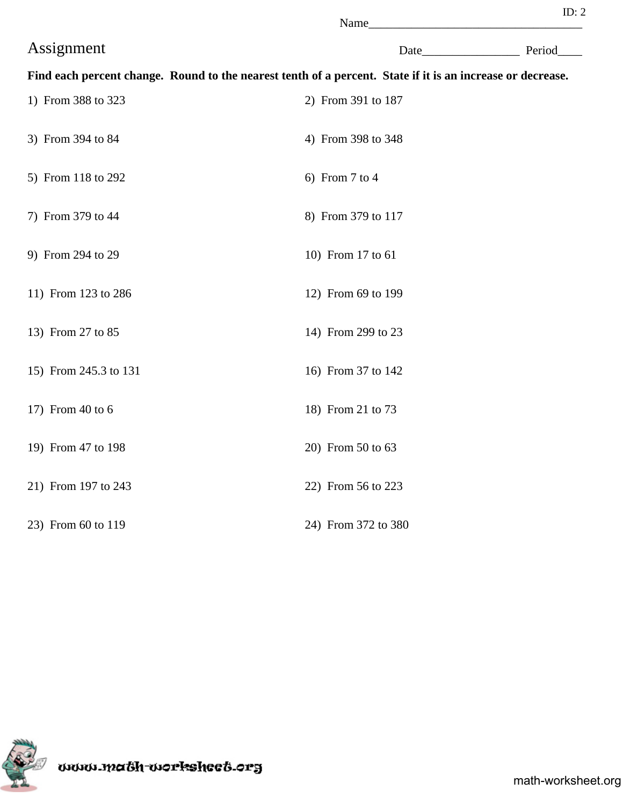|                       | Name                                                                                                       |  |
|-----------------------|------------------------------------------------------------------------------------------------------------|--|
| Assignment            | Date Period                                                                                                |  |
|                       | Find each percent change. Round to the nearest tenth of a percent. State if it is an increase or decrease. |  |
| 1) From 388 to 323    | 2) From 391 to 187                                                                                         |  |
| 3) From 394 to 84     | 4) From 398 to 348                                                                                         |  |
| 5) From 118 to 292    | 6) From 7 to 4                                                                                             |  |
| 7) From 379 to 44     | 8) From 379 to 117                                                                                         |  |
| 9) From 294 to 29     | 10) From 17 to 61                                                                                          |  |
| 11) From 123 to 286   | 12) From 69 to 199                                                                                         |  |
| 13) From 27 to 85     | 14) From 299 to 23                                                                                         |  |
| 15) From 245.3 to 131 | 16) From 37 to 142                                                                                         |  |
| 17) From 40 to 6      | 18) From 21 to 73                                                                                          |  |
| 19) From 47 to 198    | 20) From 50 to 63                                                                                          |  |
| 21) From 197 to 243   | 22) From 56 to 223                                                                                         |  |
| 23) From 60 to 119    | 24) From 372 to 380                                                                                        |  |

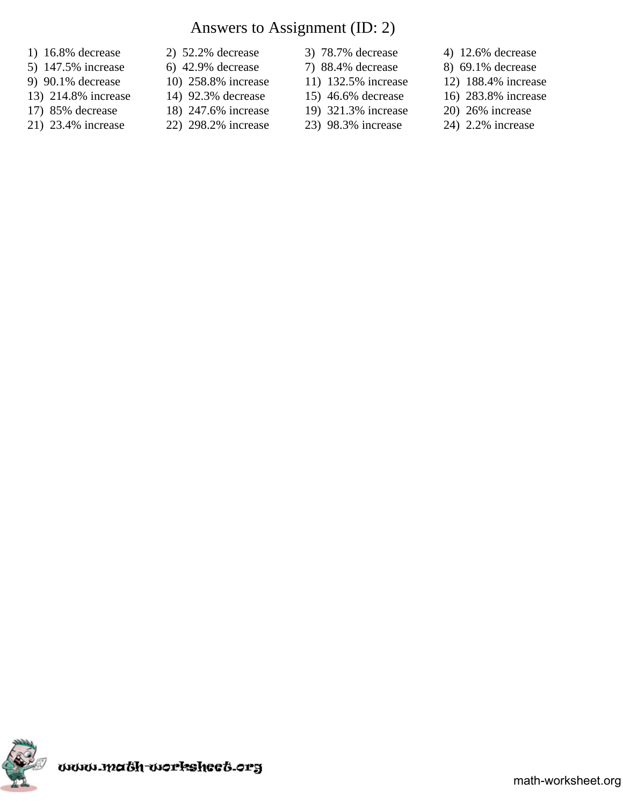# Answers to Assignment (ID: 2)

- 
- 5) 147.5% increase 6) 42.9% decrease 7) 88.4% decrease 8) 69.1% decrease
- 
- 13) 214.8% increase 14) 92.3% decrease 15) 46.6% decrease 16) 283.8% increase
- 17) 85% decrease 18) 247.6% increase 19) 321.3% increase 20) 26% increase
- 21) 23.4% increase 22) 298.2% increase 23) 98.3% increase 24) 2.2% increase
- 1) 16.8% decrease 2) 52.2% decrease 3) 78.7% decrease 4) 12.6% decrease
	-
	-
	-
	-
- 
- 
- 
- 
- -
- 
- 
- 9) 90.1% decrease 10) 258.8% increase 11) 132.5% increase 12) 188.4% increase
	-
	-
	-

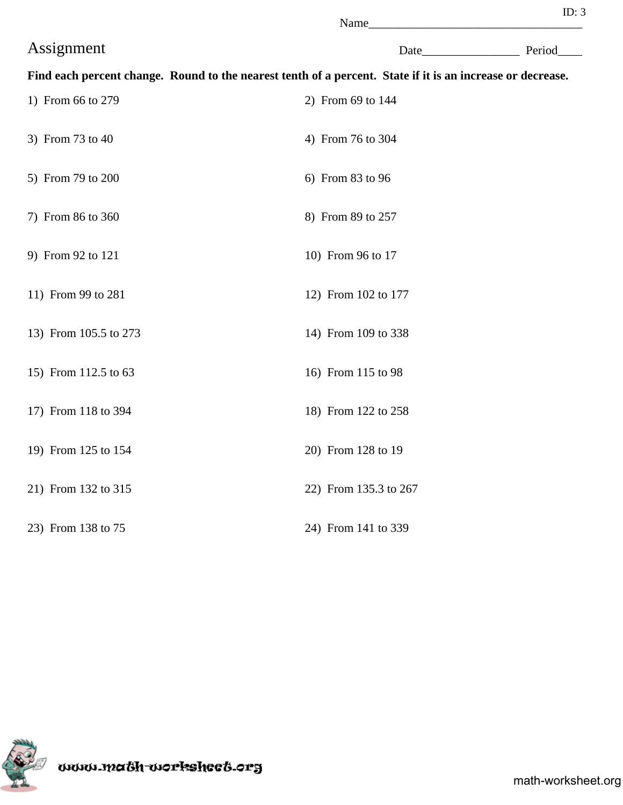| в | и |  |
|---|---|--|

|                       | Name                                                                                                       |  |
|-----------------------|------------------------------------------------------------------------------------------------------------|--|
| Assignment            | Date Period                                                                                                |  |
|                       | Find each percent change. Round to the nearest tenth of a percent. State if it is an increase or decrease. |  |
| 1) From 66 to 279     | 2) From 69 to 144                                                                                          |  |
| 3) From 73 to 40      | 4) From 76 to 304                                                                                          |  |
| 5) From 79 to 200     | 6) From 83 to 96                                                                                           |  |
| 7) From 86 to 360     | 8) From 89 to 257                                                                                          |  |
| 9) From 92 to 121     | 10) From 96 to 17                                                                                          |  |
| 11) From 99 to 281    | 12) From 102 to 177                                                                                        |  |
| 13) From 105.5 to 273 | 14) From 109 to 338                                                                                        |  |
| 15) From 112.5 to 63  | 16) From 115 to 98                                                                                         |  |
| 17) From 118 to 394   | 18) From 122 to 258                                                                                        |  |
| 19) From 125 to 154   | 20) From 128 to 19                                                                                         |  |
| 21) From 132 to 315   | 22) From 135.3 to 267                                                                                      |  |
| 23) From 138 to 75    | 24) From 141 to 339                                                                                        |  |

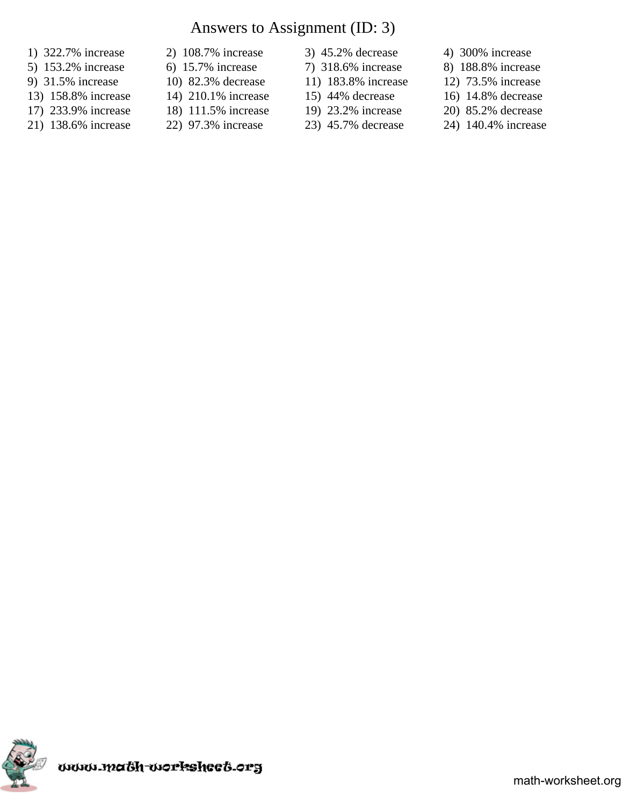# Answers to Assignment (ID: 3)

- 
- 5) 153.2% increase 6) 15.7% increase 7) 318.6% increase 8) 188.8% increase
- 9) 31.5% increase 10) 82.3% decrease 11) 183.8% increase 12) 73.5% increase
- 13) 158.8% increase 14) 210.1% increase 15) 44% decrease 16) 14.8% decrease
- 17) 233.9% increase 18) 111.5% increase 19) 23.2% increase 20) 85.2% decrease
- 21) 138.6% increase 22) 97.3% increase 23) 45.7% decrease 24) 140.4% increase
- 1) 322.7% increase 2) 108.7% increase 3) 45.2% decrease 4) 300% increase
	-
	-
	-
	-
- 
- 
- 
- 
- -
- 
- 
- 
- 
- 
- 

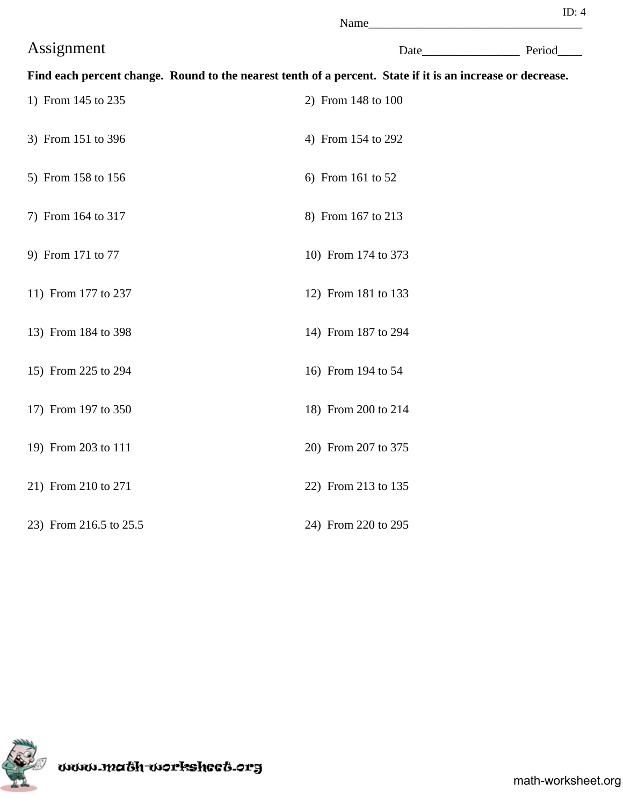|                        | Name                                                                                                       |  |
|------------------------|------------------------------------------------------------------------------------------------------------|--|
| Assignment             | Date Period                                                                                                |  |
|                        | Find each percent change. Round to the nearest tenth of a percent. State if it is an increase or decrease. |  |
| 1) From 145 to 235     | 2) From 148 to 100                                                                                         |  |
| 3) From 151 to 396     | 4) From 154 to 292                                                                                         |  |
| 5) From 158 to 156     | 6) From 161 to 52                                                                                          |  |
| 7) From 164 to 317     | 8) From 167 to 213                                                                                         |  |
| 9) From 171 to 77      | 10) From 174 to 373                                                                                        |  |
| 11) From 177 to 237    | 12) From 181 to 133                                                                                        |  |
| 13) From 184 to 398    | 14) From 187 to 294                                                                                        |  |
| 15) From 225 to 294    | 16) From 194 to 54                                                                                         |  |
| 17) From 197 to 350    | 18) From 200 to 214                                                                                        |  |
| 19) From 203 to 111    | 20) From 207 to 375                                                                                        |  |
| 21) From 210 to 271    | 22) From 213 to 135                                                                                        |  |
| 23) From 216.5 to 25.5 | 24) From 220 to 295                                                                                        |  |

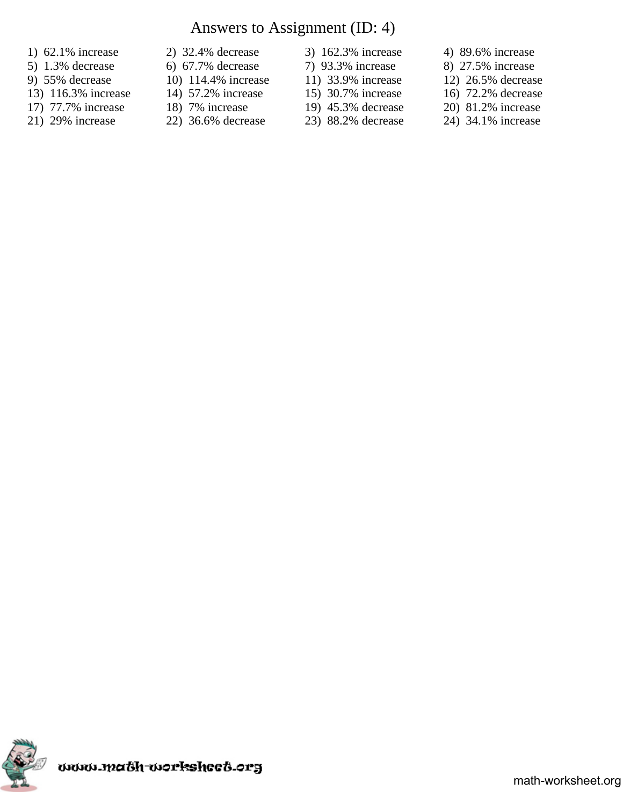# Answers to Assignment (ID: 4)

- 1) 62.1% increase 2) 32.4% decrease 3) 162.3% increase 4) 89.6% increase
- 5) 1.3% decrease 6) 67.7% decrease 7) 93.3% increase 8) 27.5% increase
- 
- 13) 116.3% increase 14) 57.2% increase 15) 30.7% increase 16) 72.2% decrease
- 17) 77.7% increase 18) 7% increase 19) 45.3% decrease 20) 81.2% increase
- 21) 29% increase 22) 36.6% decrease 23) 88.2% decrease 24) 34.1% increase
- 
- 
- 
- 
- 
- 
- 
- 
- -
- 
- 
- 9) 55% decrease 10) 114.4% increase 11) 33.9% increase 12) 26.5% decrease
	-
	-
	-

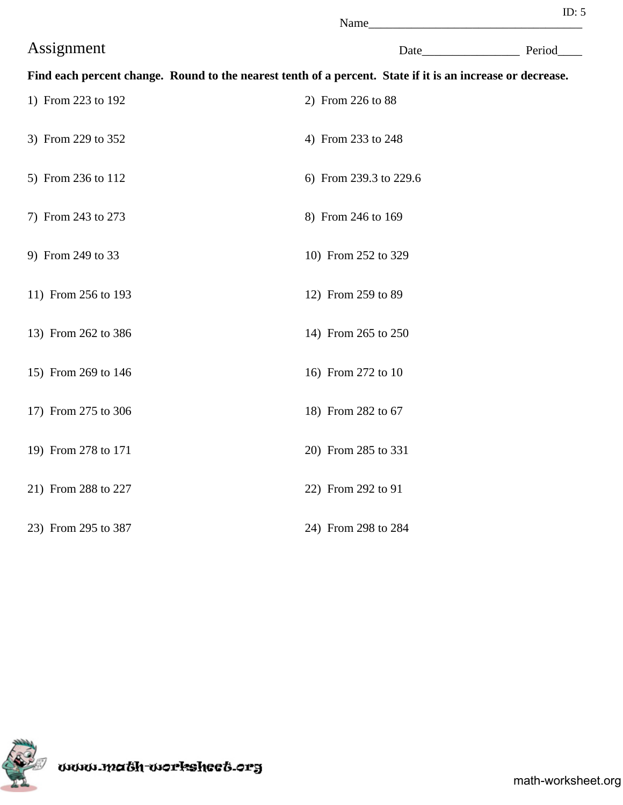|                     | Name                                                                                                       |  |
|---------------------|------------------------------------------------------------------------------------------------------------|--|
| Assignment          | Date Period                                                                                                |  |
|                     | Find each percent change. Round to the nearest tenth of a percent. State if it is an increase or decrease. |  |
| 1) From 223 to 192  | 2) From 226 to 88                                                                                          |  |
| 3) From 229 to 352  | 4) From 233 to 248                                                                                         |  |
| 5) From 236 to 112  | 6) From 239.3 to 229.6                                                                                     |  |
| 7) From 243 to 273  | 8) From 246 to 169                                                                                         |  |
| 9) From 249 to 33   | 10) From 252 to 329                                                                                        |  |
| 11) From 256 to 193 | 12) From 259 to 89                                                                                         |  |
| 13) From 262 to 386 | 14) From 265 to 250                                                                                        |  |
| 15) From 269 to 146 | 16) From 272 to 10                                                                                         |  |
| 17) From 275 to 306 | 18) From 282 to 67                                                                                         |  |
| 19) From 278 to 171 | 20) From 285 to 331                                                                                        |  |
| 21) From 288 to 227 | 22) From 292 to 91                                                                                         |  |
| 23) From 295 to 387 | 24) From 298 to 284                                                                                        |  |

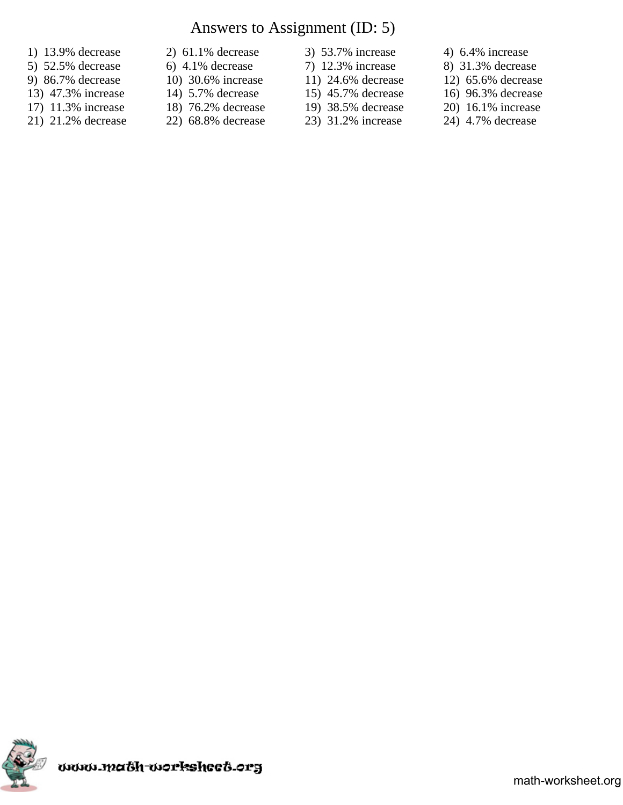# Answers to Assignment (ID: 5)

- 
- 5) 52.5% decrease 6) 4.1% decrease 7) 12.3% increase 8) 31.3% decrease
- 9) 86.7% decrease 10) 30.6% increase 11) 24.6% decrease 12) 65.6% decrease
- 13) 47.3% increase 14) 5.7% decrease 15) 45.7% decrease 16) 96.3% decrease
- 17) 11.3% increase 18) 76.2% decrease 19) 38.5% decrease 20) 16.1% increase 21) 21.2% decrease 22) 68.8% decrease 23) 31.2% increase 24) 4.7% decrease
- 
- 1) 13.9% decrease 2) 61.1% decrease 3) 53.7% increase 4) 6.4% increase
	-
	-
	-
	-
- 
- 
- 
- -
- 
- 
- 
- 
- 
- 21) 21.2% decrease 22) 68.8% decrease 23) 31.2% increase 24) 4.7% decrease

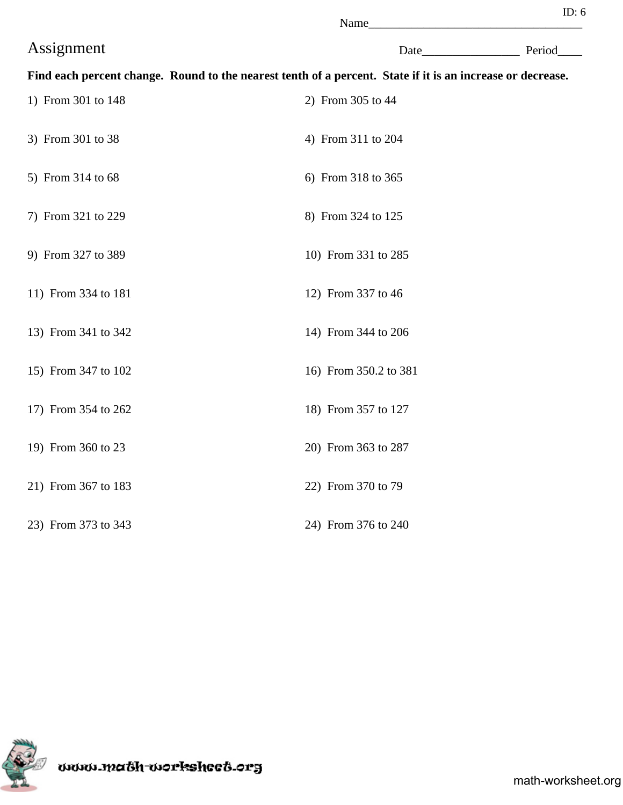|                     | Name                                                                                                       |  |
|---------------------|------------------------------------------------------------------------------------------------------------|--|
| Assignment          | Date Period                                                                                                |  |
|                     | Find each percent change. Round to the nearest tenth of a percent. State if it is an increase or decrease. |  |
| 1) From 301 to 148  | 2) From 305 to 44                                                                                          |  |
| 3) From 301 to 38   | 4) From 311 to 204                                                                                         |  |
| 5) From 314 to 68   | 6) From 318 to 365                                                                                         |  |
| 7) From 321 to 229  | 8) From 324 to 125                                                                                         |  |
| 9) From 327 to 389  | 10) From 331 to 285                                                                                        |  |
| 11) From 334 to 181 | 12) From 337 to 46                                                                                         |  |
| 13) From 341 to 342 | 14) From 344 to 206                                                                                        |  |
| 15) From 347 to 102 | 16) From 350.2 to 381                                                                                      |  |
| 17) From 354 to 262 | 18) From 357 to 127                                                                                        |  |
| 19) From 360 to 23  | 20) From 363 to 287                                                                                        |  |
| 21) From 367 to 183 | 22) From 370 to 79                                                                                         |  |
| 23) From 373 to 343 | 24) From 376 to 240                                                                                        |  |



mon math-worksheet.org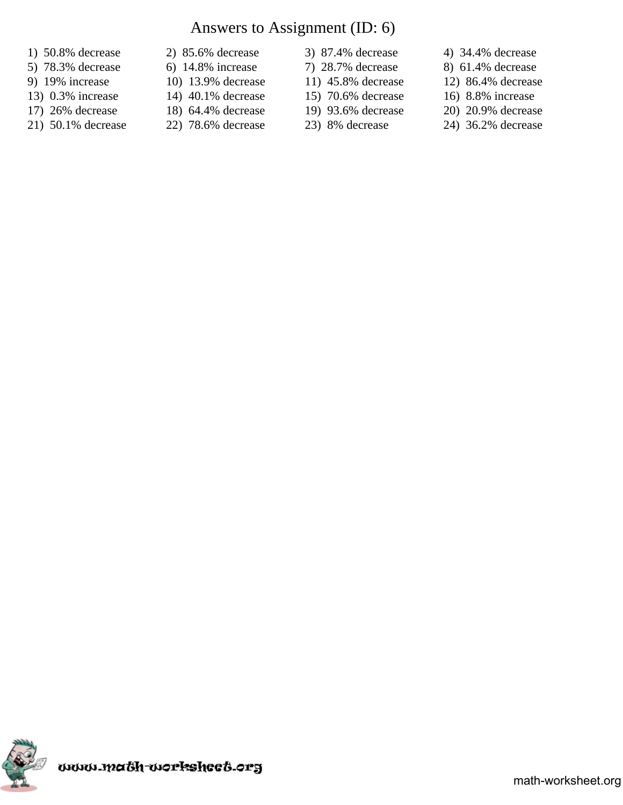# Answers to Assignment (ID: 6)

- 
- 
- 
- 13) 0.3% increase 14) 40.1% decrease 15) 70.6% decrease 16) 8.8% increase
- 17) 26% decrease 18) 64.4% decrease 19) 93.6% decrease 20) 20.9% decrease
- 21) 50.1% decrease 22) 78.6% decrease 23) 8% decrease 24) 36.2% decrease
- 1) 50.8% decrease 2) 85.6% decrease 3) 87.4% decrease 4) 34.4% decrease
	- -
	-
	-
- 
- 
- 
- 
- 
- 
- 5) 78.3% decrease 6) 14.8% increase 7) 28.7% decrease 8) 61.4% decrease
- 9) 19% increase 10) 13.9% decrease 11) 45.8% decrease 12) 86.4% decrease
	-
	-
	-

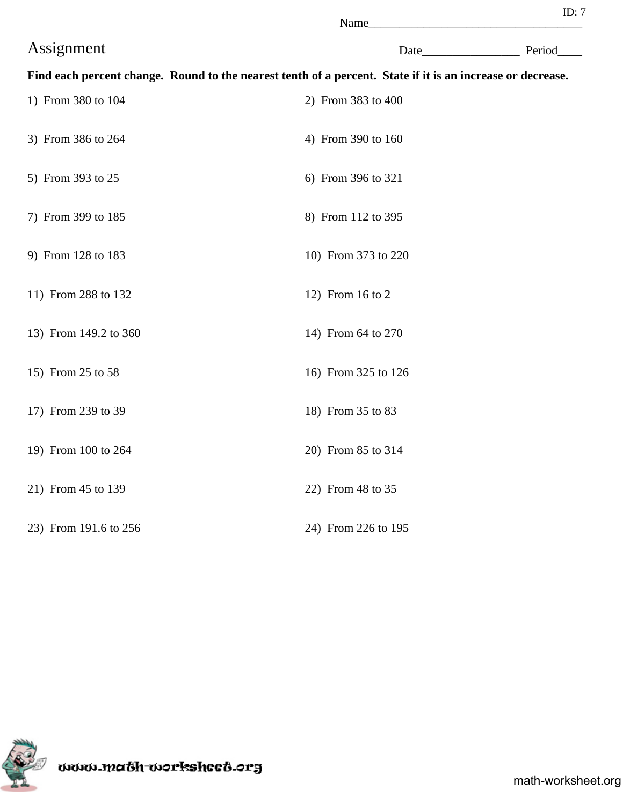| ı |  |  |
|---|--|--|

|                       | Name                                                                                                       |             |
|-----------------------|------------------------------------------------------------------------------------------------------------|-------------|
| Assignment            |                                                                                                            | Date Period |
|                       | Find each percent change. Round to the nearest tenth of a percent. State if it is an increase or decrease. |             |
| 1) From 380 to 104    | 2) From 383 to 400                                                                                         |             |
| 3) From 386 to 264    | 4) From 390 to 160                                                                                         |             |
| 5) From 393 to 25     | 6) From 396 to 321                                                                                         |             |
| 7) From 399 to 185    | 8) From 112 to 395                                                                                         |             |
| 9) From 128 to 183    | 10) From 373 to 220                                                                                        |             |
| 11) From 288 to 132   | 12) From 16 to 2                                                                                           |             |
| 13) From 149.2 to 360 | 14) From 64 to 270                                                                                         |             |
| 15) From 25 to 58     | 16) From 325 to 126                                                                                        |             |
| 17) From 239 to 39    | 18) From 35 to 83                                                                                          |             |
| 19) From 100 to 264   | 20) From 85 to 314                                                                                         |             |
| 21) From 45 to 139    | 22) From 48 to 35                                                                                          |             |
| 23) From 191.6 to 256 | 24) From 226 to 195                                                                                        |             |

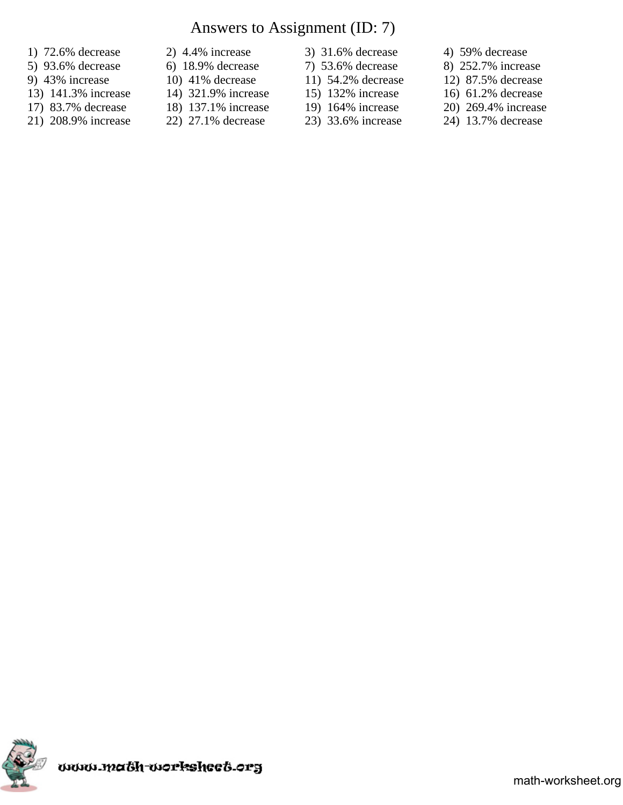# Answers to Assignment (ID: 7)

- 1) 72.6% decrease 2) 4.4% increase 3) 31.6% decrease 4) 59% decrease
- 
- 
- 13) 141.3% increase 14) 321.9% increase 15) 132% increase 16) 61.2% decrease
- 17) 83.7% decrease 18) 137.1% increase 19) 164% increase 20) 269.4% increase
- 
- 
- 
- 
- 
- 
- 
- 
- 
- -
- 
- 5) 93.6% decrease 6) 18.9% decrease 7) 53.6% decrease 8) 252.7% increase
- 9) 43% increase 10) 41% decrease 11) 54.2% decrease 12) 87.5% decrease
	-
	-
- 21) 208.9% increase 22) 27.1% decrease 23) 33.6% increase 24) 13.7% decrease

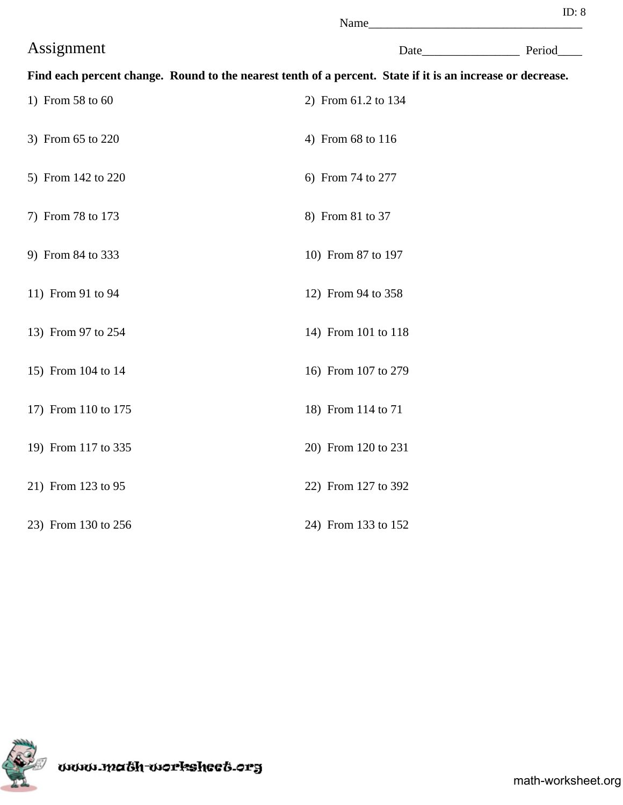| ı |  |  |
|---|--|--|

|                     | Name                                                                                                       |  |             |  |
|---------------------|------------------------------------------------------------------------------------------------------------|--|-------------|--|
| Assignment          |                                                                                                            |  | Date Period |  |
|                     | Find each percent change. Round to the nearest tenth of a percent. State if it is an increase or decrease. |  |             |  |
| 1) From 58 to 60    | 2) From 61.2 to 134                                                                                        |  |             |  |
| 3) From 65 to 220   | 4) From 68 to 116                                                                                          |  |             |  |
| 5) From 142 to 220  | 6) From 74 to 277                                                                                          |  |             |  |
| 7) From 78 to 173   | 8) From 81 to 37                                                                                           |  |             |  |
| 9) From 84 to 333   | 10) From 87 to 197                                                                                         |  |             |  |
| 11) From 91 to 94   | 12) From 94 to 358                                                                                         |  |             |  |
| 13) From 97 to 254  | 14) From 101 to 118                                                                                        |  |             |  |
| 15) From 104 to 14  | 16) From 107 to 279                                                                                        |  |             |  |
| 17) From 110 to 175 | 18) From 114 to 71                                                                                         |  |             |  |
| 19) From 117 to 335 | 20) From 120 to 231                                                                                        |  |             |  |
| 21) From 123 to 95  | 22) From 127 to 392                                                                                        |  |             |  |
| 23) From 130 to 256 | 24) From 133 to 152                                                                                        |  |             |  |

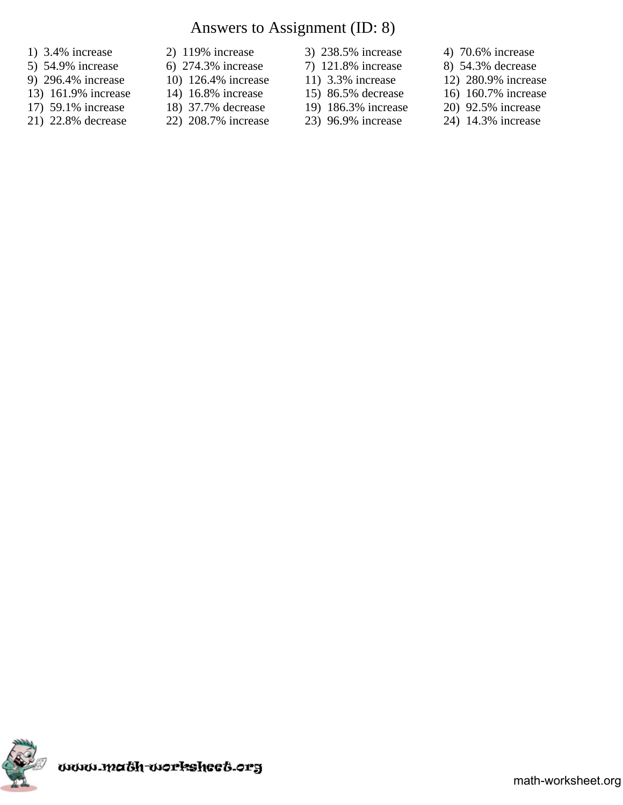# Answers to Assignment (ID: 8)

- 1) 3.4% increase 2) 119% increase 3) 238.5% increase 4) 70.6% increase
- 5) 54.9% increase 6) 274.3% increase 7) 121.8% increase 8) 54.3% decrease
- 9) 296.4% increase 10) 126.4% increase 11) 3.3% increase 12) 280.9% increase
- 13) 161.9% increase 14) 16.8% increase 15) 86.5% decrease 16) 160.7% increase
- 
- 21) 22.8% decrease 22) 208.7% increase 23) 96.9% increase 24) 14.3% increase
- 
- 
- 
- 
- 17) 59.1% increase 18) 37.7% decrease 19) 186.3% increase 20) 92.5% increase 21) 22.8% decrease 22) 208.7% increase 23) 96.9% increase 24) 14.3% increase
- 
- 
- 
- -
- 
- 
- 
- 
- 
- 

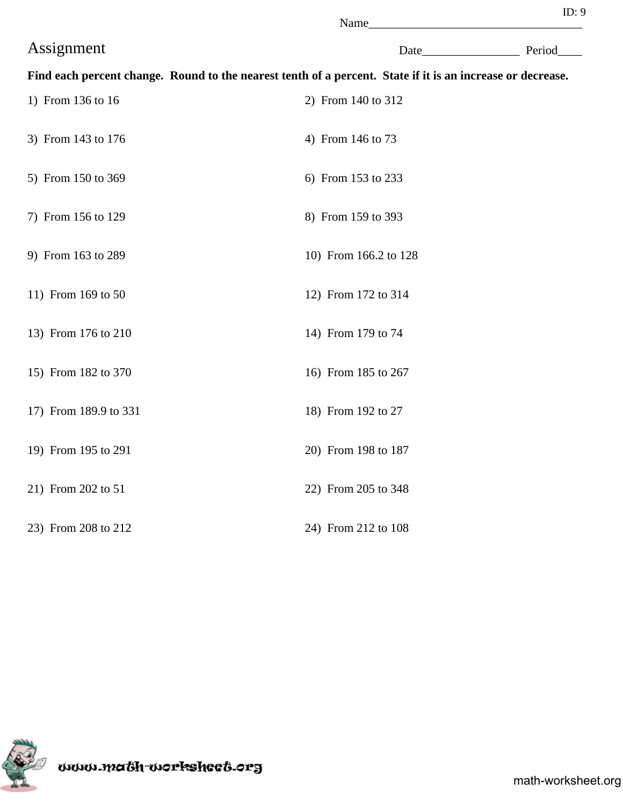|                       | Name                                                                                                       |  |             |
|-----------------------|------------------------------------------------------------------------------------------------------------|--|-------------|
| Assignment            |                                                                                                            |  | Date Period |
|                       | Find each percent change. Round to the nearest tenth of a percent. State if it is an increase or decrease. |  |             |
| 1) From 136 to 16     | 2) From 140 to 312                                                                                         |  |             |
| 3) From 143 to 176    | 4) From 146 to 73                                                                                          |  |             |
| 5) From 150 to 369    | 6) From 153 to 233                                                                                         |  |             |
| 7) From 156 to 129    | 8) From 159 to 393                                                                                         |  |             |
| 9) From 163 to 289    | 10) From 166.2 to 128                                                                                      |  |             |
| 11) From 169 to 50    | 12) From 172 to 314                                                                                        |  |             |
| 13) From 176 to 210   | 14) From 179 to 74                                                                                         |  |             |
| 15) From 182 to 370   | 16) From 185 to 267                                                                                        |  |             |
| 17) From 189.9 to 331 | 18) From 192 to 27                                                                                         |  |             |
| 19) From 195 to 291   | 20) From 198 to 187                                                                                        |  |             |
| 21) From 202 to 51    | 22) From 205 to 348                                                                                        |  |             |
| 23) From 208 to 212   | 24) From 212 to 108                                                                                        |  |             |

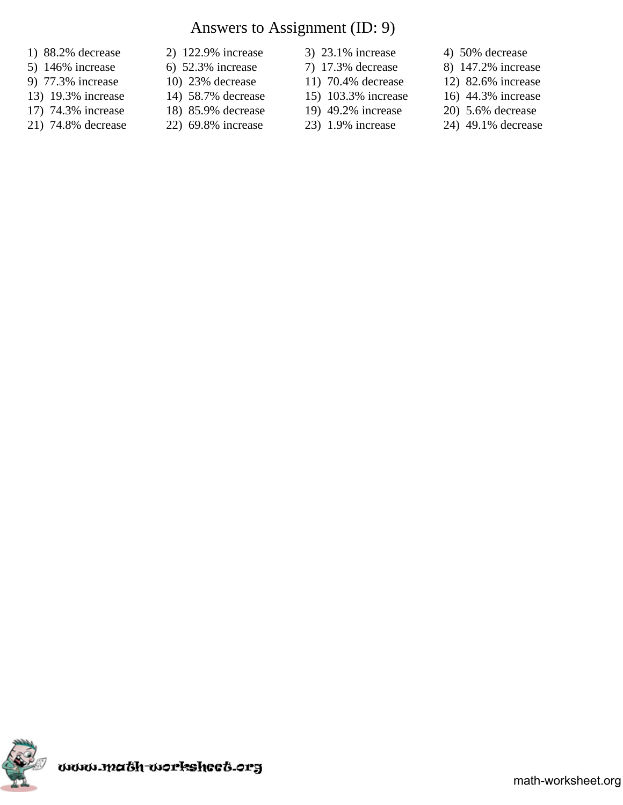# Answers to Assignment (ID: 9)

- 
- 
- 
- 13) 19.3% increase 14) 58.7% decrease 15) 103.3% increase 16) 44.3% increase
- 17) 74.3% increase 18) 85.9% decrease 19) 49.2% increase 20) 5.6% decrease
- 
- 1) 88.2% decrease 2) 122.9% increase 3) 23.1% increase 4) 50% decrease
	-
	-
	-
	- -
- 
- 5) 146% increase 6) 52.3% increase 7) 17.3% decrease 8) 147.2% increase
- 9) 77.3% increase 10) 23% decrease 11) 70.4% decrease 12) 82.6% increase
	-
	-
- 21) 74.8% decrease 22) 69.8% increase 23) 1.9% increase 24) 49.1% decrease

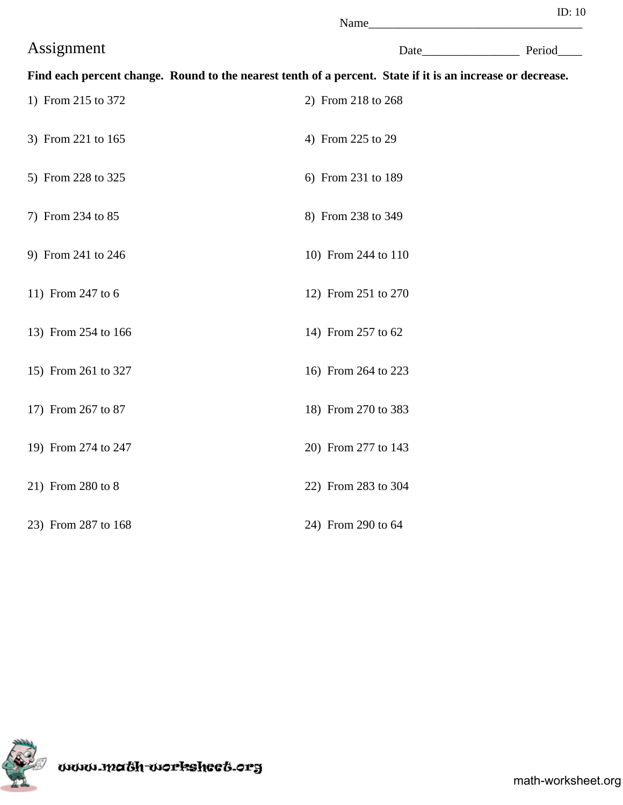| i | I |
|---|---|
|---|---|

|                     | Name_                                                                                                      |             |
|---------------------|------------------------------------------------------------------------------------------------------------|-------------|
| Assignment          |                                                                                                            | Date Period |
|                     | Find each percent change. Round to the nearest tenth of a percent. State if it is an increase or decrease. |             |
| 1) From 215 to 372  | 2) From 218 to 268                                                                                         |             |
| 3) From 221 to 165  | 4) From 225 to 29                                                                                          |             |
| 5) From 228 to 325  | 6) From 231 to 189                                                                                         |             |
| 7) From 234 to 85   | 8) From 238 to 349                                                                                         |             |
| 9) From 241 to 246  | 10) From 244 to 110                                                                                        |             |
| 11) From 247 to 6   | 12) From 251 to 270                                                                                        |             |
| 13) From 254 to 166 | 14) From 257 to 62                                                                                         |             |
| 15) From 261 to 327 | 16) From 264 to 223                                                                                        |             |
| 17) From 267 to 87  | 18) From 270 to 383                                                                                        |             |
| 19) From 274 to 247 | 20) From 277 to 143                                                                                        |             |
| 21) From 280 to 8   | 22) From 283 to 304                                                                                        |             |
| 23) From 287 to 168 | 24) From 290 to 64                                                                                         |             |